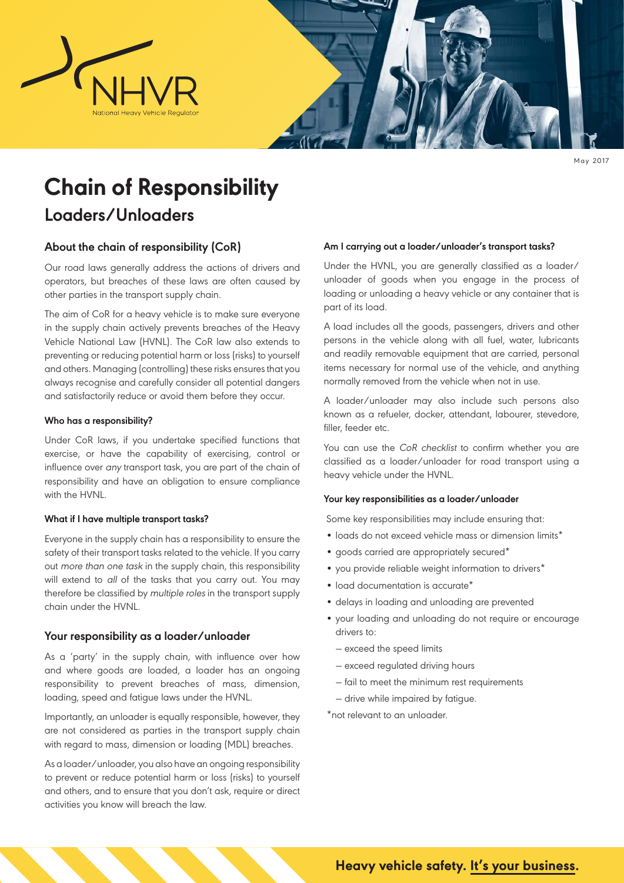

May 2017

# **Chain of Responsibility**

# **Loaders/Unloaders**

# **About the chain of responsibility (CoR)**

Our road laws generally address the actions of drivers and operators, but breaches of these laws are often caused by other parties in the transport supply chain.

The aim of CoR for a heavy vehicle is to make sure everyone in the supply chain actively prevents breaches of the Heavy Vehicle National Law (HVNL). The CoR law also extends to preventing or reducing potential harm or loss (risks) to yourself and others. Managing (controlling) these risks ensures that you always recognise and carefully consider all potential dangers and satisfactorily reduce or avoid them before they occur.

#### **Who has a responsibility?**

Under CoR laws, if you undertake specified functions that exercise, or have the capability of exercising, control or influence over any transport task, you are part of the chain of responsibility and have an obligation to ensure compliance with the HVNL.

#### **What if I have multiple transport tasks?**

Everyone in the supply chain has a responsibility to ensure the safety of their transport tasks related to the vehicle. If you carry out more than one task in the supply chain, this responsibility will extend to all of the tasks that you carry out. You may therefore be classified by multiple roles in the transport supply chain under the HVNL.

# **Your responsibility as a loader/unloader**

As a 'party' in the supply chain, with influence over how and where goods are loaded, a loader has an ongoing responsibility to prevent breaches of mass, dimension, loading, speed and fatigue laws under the HVNL.

Importantly, an unloader is equally responsible, however, they are not considered as parties in the transport supply chain with regard to mass, dimension or loading (MDL) breaches.

As a loader/unloader, you also have an ongoing responsibility to prevent or reduce potential harm or loss (risks) to yourself and others, and to ensure that you don't ask, require or direct activities you know will breach the law.

#### **Am I carrying out a loader/unloader's transport tasks?**

Under the HVNL, you are generally classified as a loader/ unloader of goods when you engage in the process of loading or unloading a heavy vehicle or any container that is part of its load.

A load includes all the goods, passengers, drivers and other persons in the vehicle along with all fuel, water, lubricants and readily removable equipment that are carried, personal items necessary for normal use of the vehicle, and anything normally removed from the vehicle when not in use.

A loader/unloader may also include such persons also known as a refueler, docker, attendant, labourer, stevedore, filler, feeder etc.

You can use the CoR checklist to confirm whether you are classified as a loader/unloader for road transport using a heavy vehicle under the HVNL.

#### **Your key responsibilities as a loader/unloader**

Some key responsibilities may include ensuring that:

- loads do not exceed vehicle mass or dimension limits\*
- goods carried are appropriately secured\*
- you provide reliable weight information to drivers\*
- load documentation is accurate\*
- delays in loading and unloading are prevented
- your loading and unloading do not require or encourage drivers to:
	- ― exceed the speed limits
	- ― exceed regulated driving hours
	- ― fail to meet the minimum rest requirements
	- ― drive while impaired by fatigue.

\*not relevant to an unloader.

**Heavy vehicle safety. It's your business.**